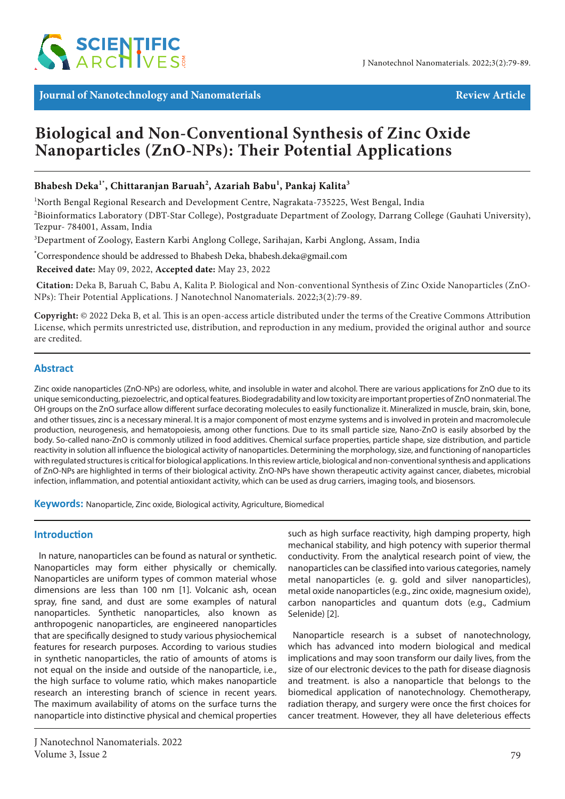

**Journal of Nanotechnology and Nanomaterials Review Article Review Article** 

# **Biological and Non-Conventional Synthesis of Zinc Oxide Nanoparticles (ZnO-NPs): Their Potential Applications**

# **Bhabesh Deka1\*, Chittaranjan Baruah2 , Azariah Babu1 , Pankaj Kalita3**

<sup>1</sup>North Bengal Regional Research and Development Centre, Nagrakata-735225, West Bengal, India 2 Bioinformatics Laboratory (DBT-Star College), Postgraduate Department of Zoology, Darrang College (Gauhati University), Tezpur- 784001, Assam, India

3 Department of Zoology, Eastern Karbi Anglong College, Sarihajan, Karbi Anglong, Assam, India

**\*** Correspondence should be addressed to Bhabesh Deka, bhabesh.deka@gmail.com

 **Received date:** May 09, 2022, **Accepted date:** May 23, 2022

**Citation:** Deka B, Baruah C, Babu A, Kalita P. Biological and Non-conventional Synthesis of Zinc Oxide Nanoparticles (ZnO-NPs): Their Potential Applications. J Nanotechnol Nanomaterials. 2022;3(2):79-89.

**Copyright:** © 2022 Deka B, et al. This is an open-access article distributed under the terms of the Creative Commons Attribution License, which permits unrestricted use, distribution, and reproduction in any medium, provided the original author and source are credited.

# **Abstract**

Zinc oxide nanoparticles (ZnO-NPs) are odorless, white, and insoluble in water and alcohol. There are various applications for ZnO due to its unique semiconducting, piezoelectric, and optical features. Biodegradability and low toxicity are important properties of ZnO nonmaterial. The OH groups on the ZnO surface allow different surface decorating molecules to easily functionalize it. Mineralized in muscle, brain, skin, bone, and other tissues, zinc is a necessary mineral. It is a major component of most enzyme systems and is involved in protein and macromolecule production, neurogenesis, and hematopoiesis, among other functions. Due to its small particle size, Nano-ZnO is easily absorbed by the body. So-called nano-ZnO is commonly utilized in food additives. Chemical surface properties, particle shape, size distribution, and particle reactivity in solution all influence the biological activity of nanoparticles. Determining the morphology, size, and functioning of nanoparticles with regulated structures is critical for biological applications. In this review article, biological and non-conventional synthesis and applications of ZnO-NPs are highlighted in terms of their biological activity. ZnO-NPs have shown therapeutic activity against cancer, diabetes, microbial infection, inflammation, and potential antioxidant activity, which can be used as drug carriers, imaging tools, and biosensors.

**Keywords:** Nanoparticle, Zinc oxide, Biological activity, Agriculture, Biomedical

# **Introduction**

In nature, nanoparticles can be found as natural or synthetic. Nanoparticles may form either physically or chemically. Nanoparticles are uniform types of common material whose dimensions are less than 100 nm [1]. Volcanic ash, ocean spray, fine sand, and dust are some examples of natural nanoparticles. Synthetic nanoparticles, also known as anthropogenic nanoparticles, are engineered nanoparticles that are specifically designed to study various physiochemical features for research purposes. According to various studies in synthetic nanoparticles, the ratio of amounts of atoms is not equal on the inside and outside of the nanoparticle, i.e., the high surface to volume ratio, which makes nanoparticle research an interesting branch of science in recent years. The maximum availability of atoms on the surface turns the nanoparticle into distinctive physical and chemical properties

such as high surface reactivity, high damping property, high mechanical stability, and high potency with superior thermal conductivity. From the analytical research point of view, the nanoparticles can be classified into various categories, namely metal nanoparticles (e. g. gold and silver nanoparticles), metal oxide nanoparticles (e.g., zinc oxide, magnesium oxide), carbon nanoparticles and quantum dots (e.g., Cadmium Selenide) [2].

Nanoparticle research is a subset of nanotechnology, which has advanced into modern biological and medical implications and may soon transform our daily lives, from the size of our electronic devices to the path for disease diagnosis and treatment. is also a nanoparticle that belongs to the biomedical application of nanotechnology. Chemotherapy, radiation therapy, and surgery were once the first choices for cancer treatment. However, they all have deleterious effects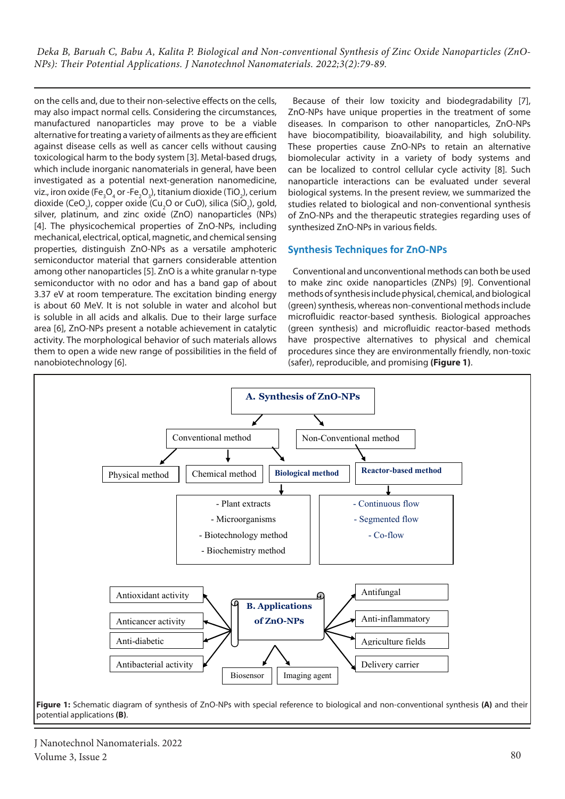on the cells and, due to their non-selective effects on the cells, may also impact normal cells. Considering the circumstances, manufactured nanoparticles may prove to be a viable alternative for treating a variety of ailments as they are efficient against disease cells as well as cancer cells without causing toxicological harm to the body system [3]. Metal-based drugs, which include inorganic nanomaterials in general, have been investigated as a potential next-generation nanomedicine, viz., iron oxide (Fe ${^3_3O_4}$ or -Fe ${^3_2O_3}$ ), titanium dioxide (TiO ${^3_2}$ ), cerium dioxide (CeO<sub>2</sub>), copper oxide (Cu<sub>2</sub>O or CuO), silica (SiO<sub>2</sub>), gold, silver, platinum, and zinc oxide (ZnO) nanoparticles (NPs) [4]. The physicochemical properties of ZnO-NPs, including mechanical, electrical, optical, magnetic, and chemical sensing properties, distinguish ZnO-NPs as a versatile amphoteric semiconductor material that garners considerable attention among other nanoparticles [5]. ZnO is a white granular n-type semiconductor with no odor and has a band gap of about 3.37 eV at room temperature. The excitation binding energy is about 60 MeV. It is not soluble in water and alcohol but is soluble in all acids and alkalis. Due to their large surface area [6], ZnO-NPs present a notable achievement in catalytic activity. The morphological behavior of such materials allows them to open a wide new range of possibilities in the field of nanobiotechnology [6].

Because of their low toxicity and biodegradability [7], ZnO-NPs have unique properties in the treatment of some diseases. In comparison to other nanoparticles, ZnO-NPs have biocompatibility, bioavailability, and high solubility. These properties cause ZnO-NPs to retain an alternative biomolecular activity in a variety of body systems and can be localized to control cellular cycle activity [8]. Such nanoparticle interactions can be evaluated under several biological systems. In the present review, we summarized the studies related to biological and non-conventional synthesis of ZnO-NPs and the therapeutic strategies regarding uses of synthesized ZnO-NPs in various fields.

# **Synthesis Techniques for ZnO-NPs**

Conventional and unconventional methods can both be used to make zinc oxide nanoparticles (ZNPs) [9]. Conventional methods of synthesis include physical, chemical, and biological (green) synthesis, whereas non-conventional methods include microfluidic reactor-based synthesis. Biological approaches (green synthesis) and microfluidic reactor-based methods have prospective alternatives to physical and chemical procedures since they are environmentally friendly, non-toxic (safer), reproducible, and promising **(Figure 1)**.



J Nanotechnol Nanomaterials. 2022 Volume 3, Issue 2  $80$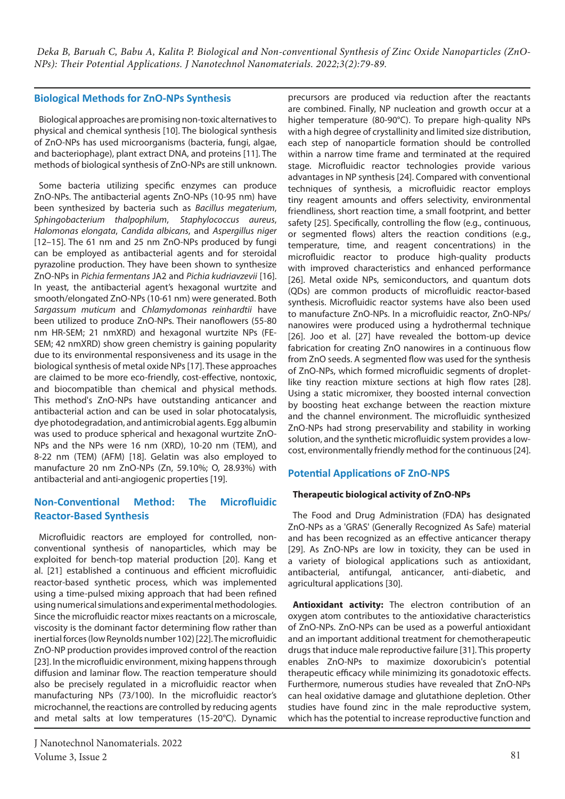# **Biological Methods for ZnO-NPs Synthesis**

Biological approaches are promising non-toxic alternatives to physical and chemical synthesis [10]. The biological synthesis of ZnO-NPs has used microorganisms (bacteria, fungi, algae, and bacteriophage), plant extract DNA, and proteins [11]. The methods of biological synthesis of ZnO-NPs are still unknown.

Some bacteria utilizing specific enzymes can produce ZnO-NPs. The antibacterial agents ZnO-NPs (10-95 nm) have been synthesized by bacteria such as *Bacillus megaterium*, *Sphingobacterium thalpophilum*, *Staphylococcus aureus*, *Halomonas elongata*, *Candida albicans*, and *Aspergillus niger* [12–15]. The 61 nm and 25 nm ZnO-NPs produced by fungi can be employed as antibacterial agents and for steroidal pyrazoline production. They have been shown to synthesize ZnO-NPs in *Pichia fermentans* JA2 and *Pichia kudriavzevii* [16]. In yeast, the antibacterial agent's hexagonal wurtzite and smooth/elongated ZnO-NPs (10-61 nm) were generated. Both *Sargassum muticum* and *Chlamydomonas reinhardtii* have been utilized to produce ZnO-NPs. Their nanoflowers (55-80 nm HR-SEM; 21 nmXRD) and hexagonal wurtzite NPs (FE-SEM; 42 nmXRD) show green chemistry is gaining popularity due to its environmental responsiveness and its usage in the biological synthesis of metal oxide NPs [17]. These approaches are claimed to be more eco-friendly, cost-effective, nontoxic, and biocompatible than chemical and physical methods. This method's ZnO-NPs have outstanding anticancer and antibacterial action and can be used in solar photocatalysis, dye photodegradation, and antimicrobial agents. Egg albumin was used to produce spherical and hexagonal wurtzite ZnO-NPs and the NPs were 16 nm (XRD), 10-20 nm (TEM), and 8-22 nm (TEM) (AFM) [18]. Gelatin was also employed to manufacture 20 nm ZnO-NPs (Zn, 59.10%; O, 28.93%) with antibacterial and anti-angiogenic properties [19].

# **Non-Conventional Method: The Microfluidic Reactor-Based Synthesis**

Microfluidic reactors are employed for controlled, nonconventional synthesis of nanoparticles, which may be exploited for bench-top material production [20]. Kang et al. [21] established a continuous and efficient microfluidic reactor-based synthetic process, which was implemented using a time-pulsed mixing approach that had been refined using numerical simulations and experimental methodologies. Since the microfluidic reactor mixes reactants on a microscale, viscosity is the dominant factor determining flow rather than inertial forces (low Reynolds number 102) [22]. The microfluidic ZnO-NP production provides improved control of the reaction [23]. In the microfluidic environment, mixing happens through diffusion and laminar flow. The reaction temperature should also be precisely regulated in a microfluidic reactor when manufacturing NPs (73/100). In the microfluidic reactor's microchannel, the reactions are controlled by reducing agents and metal salts at low temperatures (15-20°C). Dynamic precursors are produced via reduction after the reactants are combined. Finally, NP nucleation and growth occur at a higher temperature (80-90°C). To prepare high-quality NPs with a high degree of crystallinity and limited size distribution, each step of nanoparticle formation should be controlled within a narrow time frame and terminated at the required stage. Microfluidic reactor technologies provide various advantages in NP synthesis [24]. Compared with conventional techniques of synthesis, a microfluidic reactor employs tiny reagent amounts and offers selectivity, environmental friendliness, short reaction time, a small footprint, and better safety [25]. Specifically, controlling the flow (e.g., continuous, or segmented flows) alters the reaction conditions (e.g., temperature, time, and reagent concentrations) in the microfluidic reactor to produce high-quality products with improved characteristics and enhanced performance [26]. Metal oxide NPs, semiconductors, and quantum dots (QDs) are common products of microfluidic reactor-based synthesis. Microfluidic reactor systems have also been used to manufacture ZnO-NPs. In a microfluidic reactor, ZnO-NPs/ nanowires were produced using a hydrothermal technique [26]. Joo et al. [27] have revealed the bottom-up device fabrication for creating ZnO nanowires in a continuous flow from ZnO seeds. A segmented flow was used for the synthesis of ZnO-NPs, which formed microfluidic segments of dropletlike tiny reaction mixture sections at high flow rates [28]. Using a static micromixer, they boosted internal convection by boosting heat exchange between the reaction mixture and the channel environment. The microfluidic synthesized ZnO-NPs had strong preservability and stability in working solution, and the synthetic microfluidic system provides a lowcost, environmentally friendly method for the continuous [24].

# **Potential Applications oF ZnO-NPS**

#### **Therapeutic biological activity of ZnO-NPs**

The Food and Drug Administration (FDA) has designated ZnO-NPs as a 'GRAS' (Generally Recognized As Safe) material and has been recognized as an effective anticancer therapy [29]. As ZnO-NPs are low in toxicity, they can be used in a variety of biological applications such as antioxidant, antibacterial, antifungal, anticancer, anti-diabetic, and agricultural applications [30].

**Antioxidant activity:** The electron contribution of an oxygen atom contributes to the antioxidative characteristics of ZnO-NPs. ZnO-NPs can be used as a powerful antioxidant and an important additional treatment for chemotherapeutic drugs that induce male reproductive failure [31]. This property enables ZnO-NPs to maximize doxorubicin's potential therapeutic efficacy while minimizing its gonadotoxic effects. Furthermore, numerous studies have revealed that ZnO-NPs can heal oxidative damage and glutathione depletion. Other studies have found zinc in the male reproductive system, which has the potential to increase reproductive function and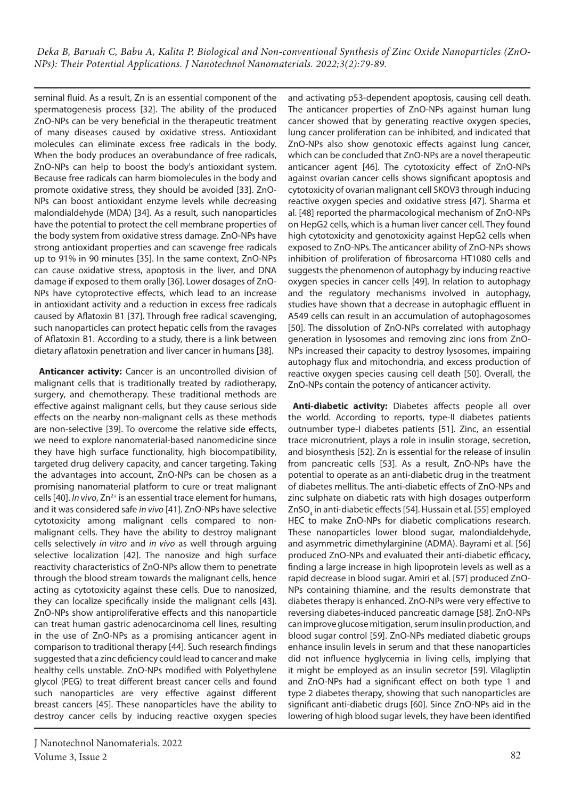seminal fluid. As a result, Zn is an essential component of the spermatogenesis process [32]. The ability of the produced ZnO-NPs can be very beneficial in the therapeutic treatment of many diseases caused by oxidative stress. Antioxidant molecules can eliminate excess free radicals in the body. When the body produces an overabundance of free radicals, ZnO-NPs can help to boost the body's antioxidant system. Because free radicals can harm biomolecules in the body and promote oxidative stress, they should be avoided [33]. ZnO-NPs can boost antioxidant enzyme levels while decreasing malondialdehyde (MDA) [34]. As a result, such nanoparticles have the potential to protect the cell membrane properties of the body system from oxidative stress damage. ZnO-NPs have strong antioxidant properties and can scavenge free radicals up to 91% in 90 minutes [35]. In the same context, ZnO-NPs can cause oxidative stress, apoptosis in the liver, and DNA damage if exposed to them orally [36]. Lower dosages of ZnO-NPs have cytoprotective effects, which lead to an increase in antioxidant activity and a reduction in excess free radicals caused by Aflatoxin B1 [37]. Through free radical scavenging, such nanoparticles can protect hepatic cells from the ravages of Aflatoxin B1. According to a study, there is a link between dietary aflatoxin penetration and liver cancer in humans [38].

**Anticancer activity:** Cancer is an uncontrolled division of malignant cells that is traditionally treated by radiotherapy, surgery, and chemotherapy. These traditional methods are effective against malignant cells, but they cause serious side effects on the nearby non-malignant cells as these methods are non-selective [39]. To overcome the relative side effects, we need to explore nanomaterial-based nanomedicine since they have high surface functionality, high biocompatibility, targeted drug delivery capacity, and cancer targeting. Taking the advantages into account, ZnO-NPs can be chosen as a promising nanomaterial platform to cure or treat malignant cells [40]. *In vivo*, Zn<sup>2+</sup> is an essential trace element for humans, and it was considered safe *in vivo* [41]. ZnO-NPs have selective cytotoxicity among malignant cells compared to nonmalignant cells. They have the ability to destroy malignant cells selectively *in vitro* and *in vivo* as well through arguing selective localization [42]. The nanosize and high surface reactivity characteristics of ZnO-NPs allow them to penetrate through the blood stream towards the malignant cells, hence acting as cytotoxicity against these cells. Due to nanosized, they can localize specifically inside the malignant cells [43]. ZnO-NPs show antiproliferative effects and this nanoparticle can treat human gastric adenocarcinoma cell lines, resulting in the use of ZnO-NPs as a promising anticancer agent in comparison to traditional therapy [44]. Such research findings suggested that a zinc deficiency could lead to cancer and make healthy cells unstable. ZnO-NPs modified with Polyethylene glycol (PEG) to treat different breast cancer cells and found such nanoparticles are very effective against different breast cancers [45]. These nanoparticles have the ability to destroy cancer cells by inducing reactive oxygen species

and activating p53-dependent apoptosis, causing cell death. The anticancer properties of ZnO-NPs against human lung cancer showed that by generating reactive oxygen species, lung cancer proliferation can be inhibited, and indicated that ZnO-NPs also show genotoxic effects against lung cancer, which can be concluded that ZnO-NPs are a novel therapeutic anticancer agent [46]. The cytotoxicity effect of ZnO-NPs against ovarian cancer cells shows significant apoptosis and cytotoxicity of ovarian malignant cell SKOV3 through inducing reactive oxygen species and oxidative stress [47]. Sharma et al. [48] reported the pharmacological mechanism of ZnO-NPs on HepG2 cells, which is a human liver cancer cell. They found high cytotoxicity and genotoxicity against HepG2 cells when exposed to ZnO-NPs. The anticancer ability of ZnO-NPs shows inhibition of proliferation of fibrosarcoma HT1080 cells and suggests the phenomenon of autophagy by inducing reactive oxygen species in cancer cells [49]. In relation to autophagy and the regulatory mechanisms involved in autophagy, studies have shown that a decrease in autophagic effluent in A549 cells can result in an accumulation of autophagosomes [50]. The dissolution of ZnO-NPs correlated with autophagy generation in lysosomes and removing zinc ions from ZnO-NPs increased their capacity to destroy lysosomes, impairing autophagy flux and mitochondria, and excess production of reactive oxygen species causing cell death [50]. Overall, the ZnO-NPs contain the potency of anticancer activity.

**Anti-diabetic activity:** Diabetes affects people all over the world. According to reports, type-II diabetes patients outnumber type-I diabetes patients [51]. Zinc, an essential trace micronutrient, plays a role in insulin storage, secretion, and biosynthesis [52]. Zn is essential for the release of insulin from pancreatic cells [53]. As a result, ZnO-NPs have the potential to operate as an anti-diabetic drug in the treatment of diabetes mellitus. The anti-diabetic effects of ZnO-NPs and zinc sulphate on diabetic rats with high dosages outperform ZnSO<sub>4</sub> in anti-diabetic effects [54]. Hussain et al. [55] employed HEC to make ZnO-NPs for diabetic complications research. These nanoparticles lower blood sugar, malondialdehyde, and asymmetric dimethylarginine (ADMA). Bayrami et al. [56] produced ZnO-NPs and evaluated their anti-diabetic efficacy, finding a large increase in high lipoprotein levels as well as a rapid decrease in blood sugar. Amiri et al. [57] produced ZnO-NPs containing thiamine, and the results demonstrate that diabetes therapy is enhanced. ZnO-NPs were very effective to reversing diabetes-induced pancreatic damage [58]. ZnO-NPs can improve glucose mitigation, serum insulin production, and blood sugar control [59]. ZnO-NPs mediated diabetic groups enhance insulin levels in serum and that these nanoparticles did not influence hyglycemia in living cells, implying that it might be employed as an insulin secretor [59]. Vilagliptin and ZnO-NPs had a significant effect on both type 1 and type 2 diabetes therapy, showing that such nanoparticles are significant anti-diabetic drugs [60]. Since ZnO-NPs aid in the lowering of high blood sugar levels, they have been identified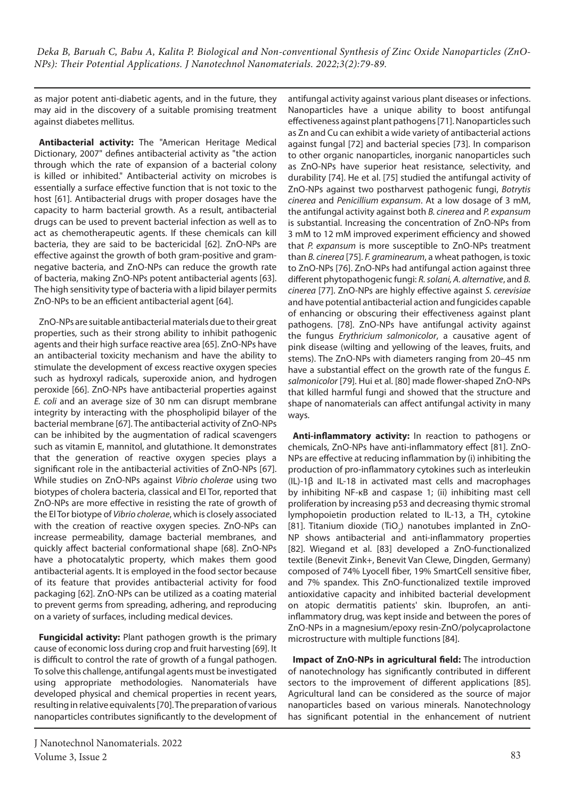as major potent anti-diabetic agents, and in the future, they may aid in the discovery of a suitable promising treatment against diabetes mellitus.

**Antibacterial activity:** The "American Heritage Medical Dictionary, 2007" defines antibacterial activity as "the action through which the rate of expansion of a bacterial colony is killed or inhibited." Antibacterial activity on microbes is essentially a surface effective function that is not toxic to the host [61]. Antibacterial drugs with proper dosages have the capacity to harm bacterial growth. As a result, antibacterial drugs can be used to prevent bacterial infection as well as to act as chemotherapeutic agents. If these chemicals can kill bacteria, they are said to be bactericidal [62]. ZnO-NPs are effective against the growth of both gram-positive and gramnegative bacteria, and ZnO-NPs can reduce the growth rate of bacteria, making ZnO-NPs potent antibacterial agents [63]. The high sensitivity type of bacteria with a lipid bilayer permits ZnO-NPs to be an efficient antibacterial agent [64].

ZnO-NPs are suitable antibacterial materials due to their great properties, such as their strong ability to inhibit pathogenic agents and their high surface reactive area [65]. ZnO-NPs have an antibacterial toxicity mechanism and have the ability to stimulate the development of excess reactive oxygen species such as hydroxyl radicals, superoxide anion, and hydrogen peroxide [66]. ZnO-NPs have antibacterial properties against *E. coli* and an average size of 30 nm can disrupt membrane integrity by interacting with the phospholipid bilayer of the bacterial membrane [67]. The antibacterial activity of ZnO-NPs can be inhibited by the augmentation of radical scavengers such as vitamin E, mannitol, and glutathione. It demonstrates that the generation of reactive oxygen species plays a significant role in the antibacterial activities of ZnO-NPs [67]. While studies on ZnO-NPs against *Vibrio cholerae* using two biotypes of cholera bacteria, classical and El Tor, reported that ZnO-NPs are more effective in resisting the rate of growth of the El Tor biotype of *Vibrio cholerae*, which is closely associated with the creation of reactive oxygen species. ZnO-NPs can increase permeability, damage bacterial membranes, and quickly affect bacterial conformational shape [68]. ZnO-NPs have a photocatalytic property, which makes them good antibacterial agents. It is employed in the food sector because of its feature that provides antibacterial activity for food packaging [62]. ZnO-NPs can be utilized as a coating material to prevent germs from spreading, adhering, and reproducing on a variety of surfaces, including medical devices.

**Fungicidal activity:** Plant pathogen growth is the primary cause of economic loss during crop and fruit harvesting [69]. It is difficult to control the rate of growth of a fungal pathogen. To solve this challenge, antifungal agents must be investigated using appropriate methodologies. Nanomaterials have developed physical and chemical properties in recent years, resulting in relative equivalents [70]. The preparation of various nanoparticles contributes significantly to the development of antifungal activity against various plant diseases or infections. Nanoparticles have a unique ability to boost antifungal effectiveness against plant pathogens [71]. Nanoparticles such as Zn and Cu can exhibit a wide variety of antibacterial actions against fungal [72] and bacterial species [73]. In comparison to other organic nanoparticles, inorganic nanoparticles such as ZnO-NPs have superior heat resistance, selectivity, and durability [74]. He et al. [75] studied the antifungal activity of ZnO-NPs against two postharvest pathogenic fungi, *Botrytis cinerea* and *Penicillium expansum*. At a low dosage of 3 mM, the antifungal activity against both *B. cinerea* and *P. expansum* is substantial. Increasing the concentration of ZnO-NPs from 3 mM to 12 mM improved experiment efficiency and showed that *P. expansum* is more susceptible to ZnO-NPs treatment than *B. cinerea* [75]. *F. graminearum*, a wheat pathogen, is toxic to ZnO-NPs [76]. ZnO-NPs had antifungal action against three different phytopathogenic fungi: *R. solani, A. alternative*, and *B. cinerea* [77]. ZnO-NPs are highly effective against *S. cerevisiae*  and have potential antibacterial action and fungicides capable of enhancing or obscuring their effectiveness against plant pathogens. [78]. ZnO-NPs have antifungal activity against the fungus *Erythricium salmonicolor*, a causative agent of pink disease (wilting and yellowing of the leaves, fruits, and stems). The ZnO-NPs with diameters ranging from 20–45 nm have a substantial effect on the growth rate of the fungus *E. salmonicolor* [79]. Hui et al. [80] made flower-shaped ZnO-NPs that killed harmful fungi and showed that the structure and shape of nanomaterials can affect antifungal activity in many ways.

**Anti-inflammatory activity:** In reaction to pathogens or chemicals, ZnO-NPs have anti-inflammatory effect [81]. ZnO-NPs are effective at reducing inflammation by (i) inhibiting the production of pro-inflammatory cytokines such as interleukin (IL)-1β and IL-18 in activated mast cells and macrophages by inhibiting NF-κB and caspase 1; (ii) inhibiting mast cell proliferation by increasing p53 and decreasing thymic stromal lymphopoietin production related to IL-13, a TH<sub>2</sub> cytokine [81]. Titanium dioxide (TiO<sub>2</sub>) nanotubes implanted in ZnO-NP shows antibacterial and anti-inflammatory properties [82]. Wiegand et al. [83] developed a ZnO-functionalized textile (Benevit Zink+, Benevit Van Clewe, Dingden, Germany) composed of 74% Lyocell fiber, 19% SmartCell sensitive fiber, and 7% spandex. This ZnO-functionalized textile improved antioxidative capacity and inhibited bacterial development on atopic dermatitis patients' skin. Ibuprofen, an antiinflammatory drug, was kept inside and between the pores of ZnO-NPs in a magnesium/epoxy resin-ZnO/polycaprolactone microstructure with multiple functions [84].

**Impact of ZnO-NPs in agricultural field:** The introduction of nanotechnology has significantly contributed in different sectors to the improvement of different applications [85]. Agricultural land can be considered as the source of major nanoparticles based on various minerals. Nanotechnology has significant potential in the enhancement of nutrient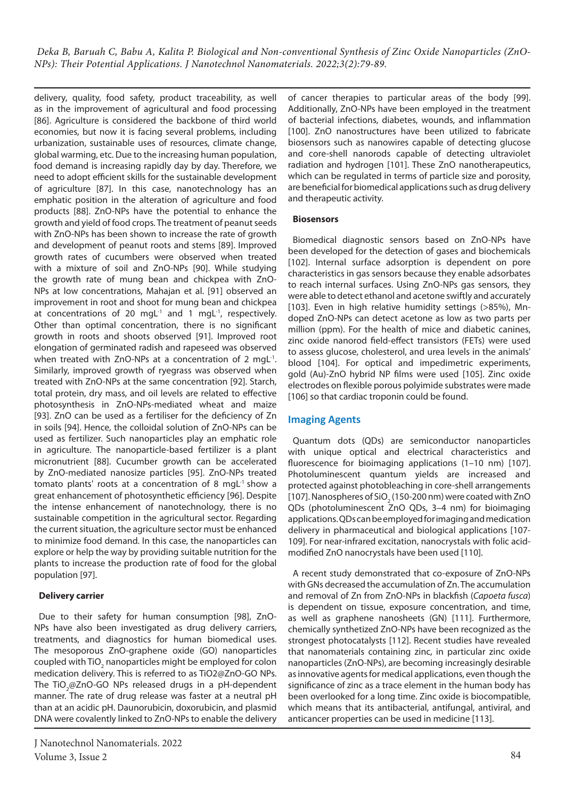delivery, quality, food safety, product traceability, as well as in the improvement of agricultural and food processing [86]. Agriculture is considered the backbone of third world economies, but now it is facing several problems, including urbanization, sustainable uses of resources, climate change, global warming, etc. Due to the increasing human population, food demand is increasing rapidly day by day. Therefore, we need to adopt efficient skills for the sustainable development of agriculture [87]. In this case, nanotechnology has an emphatic position in the alteration of agriculture and food products [88]. ZnO-NPs have the potential to enhance the growth and yield of food crops. The treatment of peanut seeds with ZnO-NPs has been shown to increase the rate of growth and development of peanut roots and stems [89]. Improved growth rates of cucumbers were observed when treated with a mixture of soil and ZnO-NPs [90]. While studying the growth rate of mung bean and chickpea with ZnO-NPs at low concentrations, Mahajan et al. [91] observed an improvement in root and shoot for mung bean and chickpea at concentrations of 20 mgL $^{-1}$  and 1 mgL $^{-1}$ , respectively. Other than optimal concentration, there is no significant growth in roots and shoots observed [91]. Improved root elongation of germinated radish and rapeseed was observed when treated with ZnO-NPs at a concentration of 2 mgL<sup>-1</sup>. Similarly, improved growth of ryegrass was observed when treated with ZnO-NPs at the same concentration [92]. Starch, total protein, dry mass, and oil levels are related to effective photosynthesis in ZnO-NPs-mediated wheat and maize [93]. ZnO can be used as a fertiliser for the deficiency of Zn in soils [94]. Hence, the colloidal solution of ZnO-NPs can be used as fertilizer. Such nanoparticles play an emphatic role in agriculture. The nanoparticle-based fertilizer is a plant micronutrient [88]. Cucumber growth can be accelerated by ZnO-mediated nanosize particles [95]. ZnO-NPs treated tomato plants' roots at a concentration of 8 mgL-1 show a great enhancement of photosynthetic efficiency [96]. Despite the intense enhancement of nanotechnology, there is no sustainable competition in the agricultural sector. Regarding the current situation, the agriculture sector must be enhanced to minimize food demand. In this case, the nanoparticles can explore or help the way by providing suitable nutrition for the plants to increase the production rate of food for the global population [97].

# **Delivery carrier**

Due to their safety for human consumption [98], ZnO-NPs have also been investigated as drug delivery carriers, treatments, and diagnostics for human biomedical uses. The mesoporous ZnO-graphene oxide (GO) nanoparticles coupled with TiO<sub>2</sub> nanoparticles might be employed for colon medication delivery. This is referred to as TiO2@ZnO-GO NPs. The TiO<sub>2</sub>@ZnO-GO NPs released drugs in a pH-dependent manner. The rate of drug release was faster at a neutral pH than at an acidic pH. Daunorubicin, doxorubicin, and plasmid DNA were covalently linked to ZnO-NPs to enable the delivery

of cancer therapies to particular areas of the body [99]. Additionally, ZnO-NPs have been employed in the treatment of bacterial infections, diabetes, wounds, and inflammation [100]. ZnO nanostructures have been utilized to fabricate biosensors such as nanowires capable of detecting glucose and core-shell nanorods capable of detecting ultraviolet radiation and hydrogen [101]. These ZnO nanotherapeutics, which can be regulated in terms of particle size and porosity, are beneficial for biomedical applications such as drug delivery and therapeutic activity.

# **Biosensors**

Biomedical diagnostic sensors based on ZnO-NPs have been developed for the detection of gases and biochemicals [102]. Internal surface adsorption is dependent on pore characteristics in gas sensors because they enable adsorbates to reach internal surfaces. Using ZnO-NPs gas sensors, they were able to detect ethanol and acetone swiftly and accurately [103]. Even in high relative humidity settings (>85%), Mndoped ZnO-NPs can detect acetone as low as two parts per million (ppm). For the health of mice and diabetic canines, zinc oxide nanorod field-effect transistors (FETs) were used to assess glucose, cholesterol, and urea levels in the animals' blood [104]. For optical and impedimetric experiments, gold (Au)-ZnO hybrid NP films were used [105]. Zinc oxide electrodes on flexible porous polyimide substrates were made [106] so that cardiac troponin could be found.

# **Imaging Agents**

Quantum dots (QDs) are semiconductor nanoparticles with unique optical and electrical characteristics and fluorescence for bioimaging applications (1–10 nm) [107]. Photoluminescent quantum yields are increased and protected against photobleaching in core-shell arrangements [107]. Nanospheres of SiO<sub>2</sub> (150-200 nm) were coated with ZnO QDs (photoluminescent ZnO QDs, 3–4 nm) for bioimaging applications. QDs can be employed for imaging and medication delivery in pharmaceutical and biological applications [107- 109]. For near-infrared excitation, nanocrystals with folic acidmodified ZnO nanocrystals have been used [110].

A recent study demonstrated that co-exposure of ZnO-NPs with GNs decreased the accumulation of Zn. The accumulation and removal of Zn from ZnO-NPs in blackfish (*Capoeta fusca*) is dependent on tissue, exposure concentration, and time, as well as graphene nanosheets (GN) [111]. Furthermore, chemically synthetized ZnO-NPs have been recognized as the strongest photocatalysts [112]. Recent studies have revealed that nanomaterials containing zinc, in particular zinc oxide nanoparticles (ZnO-NPs), are becoming increasingly desirable as innovative agents for medical applications, even though the significance of zinc as a trace element in the human body has been overlooked for a long time. Zinc oxide is biocompatible, which means that its antibacterial, antifungal, antiviral, and anticancer properties can be used in medicine [113].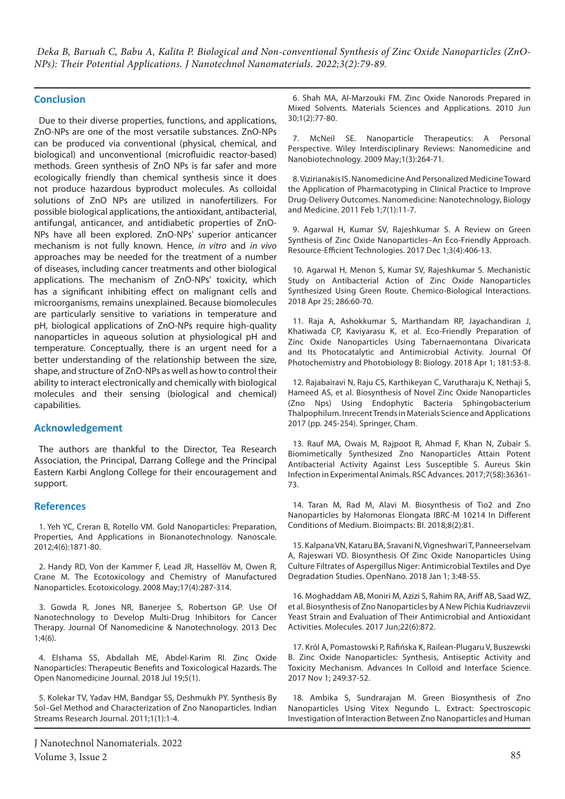# **Conclusion**

Due to their diverse properties, functions, and applications, ZnO-NPs are one of the most versatile substances. ZnO-NPs can be produced via conventional (physical, chemical, and biological) and unconventional (microfluidic reactor-based) methods. Green synthesis of ZnO NPs is far safer and more ecologically friendly than chemical synthesis since it does not produce hazardous byproduct molecules. As colloidal solutions of ZnO NPs are utilized in nanofertilizers. For possible biological applications, the antioxidant, antibacterial, antifungal, anticancer, and antidiabetic properties of ZnO-NPs have all been explored. ZnO-NPs' superior anticancer mechanism is not fully known. Hence, *in vitro* and *in vivo* approaches may be needed for the treatment of a number of diseases, including cancer treatments and other biological applications. The mechanism of ZnO-NPs' toxicity, which has a significant inhibiting effect on malignant cells and microorganisms, remains unexplained. Because biomolecules are particularly sensitive to variations in temperature and pH, biological applications of ZnO-NPs require high-quality nanoparticles in aqueous solution at physiological pH and temperature. Conceptually, there is an urgent need for a better understanding of the relationship between the size, shape, and structure of ZnO-NPs as well as how to control their ability to interact electronically and chemically with biological molecules and their sensing (biological and chemical) capabilities.

# **Acknowledgement**

The authors are thankful to the Director, Tea Research Association, the Principal, Darrang College and the Principal Eastern Karbi Anglong College for their encouragement and support.

#### **References**

1. Yeh YC, Creran B, Rotello VM. Gold Nanoparticles: Preparation, Properties, And Applications in Bionanotechnology. Nanoscale. 2012;4(6):1871-80.

2. Handy RD, Von der Kammer F, Lead JR, Hassellöv M, Owen R, Crane M. The Ecotoxicology and Chemistry of Manufactured Nanoparticles. Ecotoxicology. 2008 May;17(4):287-314.

3. Gowda R, Jones NR, Banerjee S, Robertson GP. Use Of Nanotechnology to Develop Multi-Drug Inhibitors for Cancer Therapy. Journal Of Nanomedicine & Nanotechnology. 2013 Dec 1;4(6).

4. Elshama SS, Abdallah ME, Abdel-Karim RI. Zinc Oxide Nanoparticles: Therapeutic Benefits and Toxicological Hazards. The Open Nanomedicine Journal. 2018 Jul 19;5(1).

5. Kolekar TV, Yadav HM, Bandgar SS, Deshmukh PY. Synthesis By Sol–Gel Method and Characterization of Zno Nanoparticles. Indian Streams Research Journal. 2011;1(1):1-4.

6. Shah MA, Al-Marzouki FM. Zinc Oxide Nanorods Prepared in Mixed Solvents. Materials Sciences and Applications. 2010 Jun 30;1(2):77-80.

7. McNeil SE. Nanoparticle Therapeutics: A Personal Perspective. Wiley Interdisciplinary Reviews: Nanomedicine and Nanobiotechnology. 2009 May;1(3):264-71.

8. Vizirianakis IS. Nanomedicine And Personalized Medicine Toward the Application of Pharmacotyping in Clinical Practice to Improve Drug-Delivery Outcomes. Nanomedicine: Nanotechnology, Biology and Medicine. 2011 Feb 1;7(1):11-7.

9. Agarwal H, Kumar SV, Rajeshkumar S. A Review on Green Synthesis of Zinc Oxide Nanoparticles–An Eco-Friendly Approach. Resource-Efficient Technologies. 2017 Dec 1;3(4):406-13.

10. Agarwal H, Menon S, Kumar SV, Rajeshkumar S. Mechanistic Study on Antibacterial Action of Zinc Oxide Nanoparticles Synthesized Using Green Route. Chemico-Biological Interactions. 2018 Apr 25; 286:60-70.

11. Raja A, Ashokkumar S, Marthandam RP, Jayachandiran J, Khatiwada CP, Kaviyarasu K, et al. Eco-Friendly Preparation of Zinc Oxide Nanoparticles Using Tabernaemontana Divaricata and Its Photocatalytic and Antimicrobial Activity. Journal Of Photochemistry and Photobiology B: Biology. 2018 Apr 1; 181:53-8.

12. Rajabairavi N, Raju CS, Karthikeyan C, Varutharaju K, Nethaji S, Hameed AS, et al. Biosynthesis of Novel Zinc Oxide Nanoparticles (Zno Nps) Using Endophytic Bacteria Sphingobacterium Thalpophilum. Inrecent Trends in Materials Science and Applications 2017 (pp. 245-254). Springer, Cham.

13. Rauf MA, Owais M, Rajpoot R, Ahmad F, Khan N, Zubair S. Biomimetically Synthesized Zno Nanoparticles Attain Potent Antibacterial Activity Against Less Susceptible S. Aureus Skin Infection in Experimental Animals. RSC Advances. 2017;7(58):36361- 73.

14. Taran M, Rad M, Alavi M. Biosynthesis of Tio2 and Zno Nanoparticles by Halomonas Elongata IBRC-M 10214 In Different Conditions of Medium. Bioimpacts: BI. 2018;8(2):81.

15. Kalpana VN, Kataru BA, Sravani N, Vigneshwari T, Panneerselvam A, Rajeswari VD. Biosynthesis Of Zinc Oxide Nanoparticles Using Culture Filtrates of Aspergillus Niger: Antimicrobial Textiles and Dye Degradation Studies. OpenNano. 2018 Jan 1; 3:48-55.

16. Moghaddam AB, Moniri M, Azizi S, Rahim RA, Ariff AB, Saad WZ, et al. Biosynthesis of Zno Nanoparticles by A New Pichia Kudriavzevii Yeast Strain and Evaluation of Their Antimicrobial and Antioxidant Activities. Molecules. 2017 Jun;22(6):872.

17. Król A, Pomastowski P, Rafińska K, Railean-Plugaru V, Buszewski B. Zinc Oxide Nanoparticles: Synthesis, Antiseptic Activity and Toxicity Mechanism. Advances In Colloid and Interface Science. 2017 Nov 1; 249:37-52.

18. Ambika S, Sundrarajan M. Green Biosynthesis of Zno Nanoparticles Using Vitex Negundo L. Extract: Spectroscopic Investigation of Interaction Between Zno Nanoparticles and Human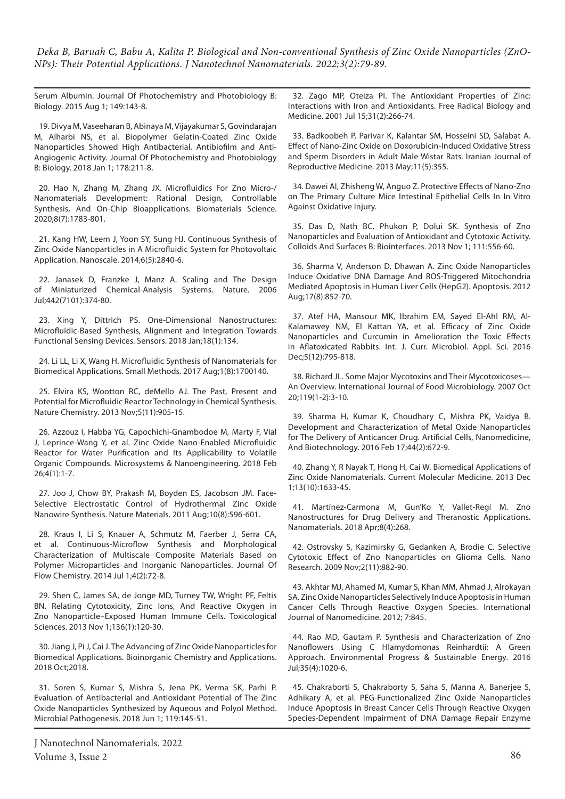Serum Albumin. Journal Of Photochemistry and Photobiology B: Biology. 2015 Aug 1; 149:143-8.

19. Divya M, Vaseeharan B, Abinaya M, Vijayakumar S, Govindarajan M, Alharbi NS, et al. Biopolymer Gelatin-Coated Zinc Oxide Nanoparticles Showed High Antibacterial, Antibiofilm and Anti-Angiogenic Activity. Journal Of Photochemistry and Photobiology B: Biology. 2018 Jan 1; 178:211-8.

20. Hao N, Zhang M, Zhang JX. Microfluidics For Zno Micro-/ Nanomaterials Development: Rational Design, Controllable Synthesis, And On-Chip Bioapplications. Biomaterials Science. 2020;8(7):1783-801.

21. Kang HW, Leem J, Yoon SY, Sung HJ. Continuous Synthesis of Zinc Oxide Nanoparticles in A Microfluidic System for Photovoltaic Application. Nanoscale. 2014;6(5):2840-6.

22. Janasek D, Franzke J, Manz A. Scaling and The Design of Miniaturized Chemical-Analysis Systems. Nature. 2006 Jul;442(7101):374-80.

23. Xing Y, Dittrich PS. One-Dimensional Nanostructures: Microfluidic-Based Synthesis, Alignment and Integration Towards Functional Sensing Devices. Sensors. 2018 Jan;18(1):134.

24. Li LL, Li X, Wang H. Microfluidic Synthesis of Nanomaterials for Biomedical Applications. Small Methods. 2017 Aug;1(8):1700140.

25. Elvira KS, Wootton RC, deMello AJ. The Past, Present and Potential for Microfluidic Reactor Technology in Chemical Synthesis. Nature Chemistry. 2013 Nov;5(11):905-15.

26. Azzouz I, Habba YG, Capochichi-Gnambodoe M, Marty F, Vial J, Leprince-Wang Y, et al. Zinc Oxide Nano-Enabled Microfluidic Reactor for Water Purification and Its Applicability to Volatile Organic Compounds. Microsystems & Nanoengineering. 2018 Feb 26;4(1):1-7.

27. Joo J, Chow BY, Prakash M, Boyden ES, Jacobson JM. Face-Selective Electrostatic Control of Hydrothermal Zinc Oxide Nanowire Synthesis. Nature Materials. 2011 Aug;10(8):596-601.

28. Kraus I, Li S, Knauer A, Schmutz M, Faerber J, Serra CA, et al. Continuous-Microflow Synthesis and Morphological Characterization of Multiscale Composite Materials Based on Polymer Microparticles and Inorganic Nanoparticles. Journal Of Flow Chemistry. 2014 Jul 1;4(2):72-8.

29. Shen C, James SA, de Jonge MD, Turney TW, Wright PF, Feltis BN. Relating Cytotoxicity, Zinc Ions, And Reactive Oxygen in Zno Nanoparticle–Exposed Human Immune Cells. Toxicological Sciences. 2013 Nov 1;136(1):120-30.

30. Jiang J, Pi J, Cai J. The Advancing of Zinc Oxide Nanoparticles for Biomedical Applications. Bioinorganic Chemistry and Applications. 2018 Oct;2018.

31. Soren S, Kumar S, Mishra S, Jena PK, Verma SK, Parhi P. Evaluation of Antibacterial and Antioxidant Potential of The Zinc Oxide Nanoparticles Synthesized by Aqueous and Polyol Method. Microbial Pathogenesis. 2018 Jun 1; 119:145-51.

32. Zago MP, Oteiza PI. The Antioxidant Properties of Zinc: Interactions with Iron and Antioxidants. Free Radical Biology and Medicine. 2001 Jul 15;31(2):266-74.

33. Badkoobeh P, Parivar K, Kalantar SM, Hosseini SD, Salabat A. Effect of Nano-Zinc Oxide on Doxorubicin-Induced Oxidative Stress and Sperm Disorders in Adult Male Wistar Rats. Iranian Journal of Reproductive Medicine. 2013 May;11(5):355.

34. Dawei AI, Zhisheng W, Anguo Z. Protective Effects of Nano-Zno on The Primary Culture Mice Intestinal Epithelial Cells In In Vitro Against Oxidative Injury.

35. Das D, Nath BC, Phukon P, Dolui SK. Synthesis of Zno Nanoparticles and Evaluation of Antioxidant and Cytotoxic Activity. Colloids And Surfaces B: Biointerfaces. 2013 Nov 1; 111:556-60.

36. Sharma V, Anderson D, Dhawan A. Zinc Oxide Nanoparticles Induce Oxidative DNA Damage And ROS-Triggered Mitochondria Mediated Apoptosis in Human Liver Cells (HepG2). Apoptosis. 2012 Aug;17(8):852-70.

37. Atef HA, Mansour MK, Ibrahim EM, Sayed El-Ahl RM, Al-Kalamawey NM, El Kattan YA, et al. Efficacy of Zinc Oxide Nanoparticles and Curcumin in Amelioration the Toxic Effects in Aflatoxicated Rabbits. Int. J. Curr. Microbiol. Appl. Sci. 2016 Dec;5(12):795-818.

38. Richard JL. Some Major Mycotoxins and Their Mycotoxicoses— An Overview. International Journal of Food Microbiology. 2007 Oct 20;119(1-2):3-10.

39. Sharma H, Kumar K, Choudhary C, Mishra PK, Vaidya B. Development and Characterization of Metal Oxide Nanoparticles for The Delivery of Anticancer Drug. Artificial Cells, Nanomedicine, And Biotechnology. 2016 Feb 17;44(2):672-9.

40. Zhang Y, R Nayak T, Hong H, Cai W. Biomedical Applications of Zinc Oxide Nanomaterials. Current Molecular Medicine. 2013 Dec 1;13(10):1633-45.

41. Martínez-Carmona M, Gun'Ko Y, Vallet-Regí M. Zno Nanostructures for Drug Delivery and Theranostic Applications. Nanomaterials. 2018 Apr;8(4):268.

42. Ostrovsky S, Kazimirsky G, Gedanken A, Brodie C. Selective Cytotoxic Effect of Zno Nanoparticles on Glioma Cells. Nano Research. 2009 Nov;2(11):882-90.

43. Akhtar MJ, Ahamed M, Kumar S, Khan MM, Ahmad J, Alrokayan SA. Zinc Oxide Nanoparticles Selectively Induce Apoptosis in Human Cancer Cells Through Reactive Oxygen Species. International Journal of Nanomedicine. 2012; 7:845.

44. Rao MD, Gautam P. Synthesis and Characterization of Zno Nanoflowers Using C Hlamydomonas Reinhardtii: A Green Approach. Environmental Progress & Sustainable Energy. 2016 Jul;35(4):1020-6.

45. Chakraborti S, Chakraborty S, Saha S, Manna A, Banerjee S, Adhikary A, et al. PEG-Functionalized Zinc Oxide Nanoparticles Induce Apoptosis in Breast Cancer Cells Through Reactive Oxygen Species-Dependent Impairment of DNA Damage Repair Enzyme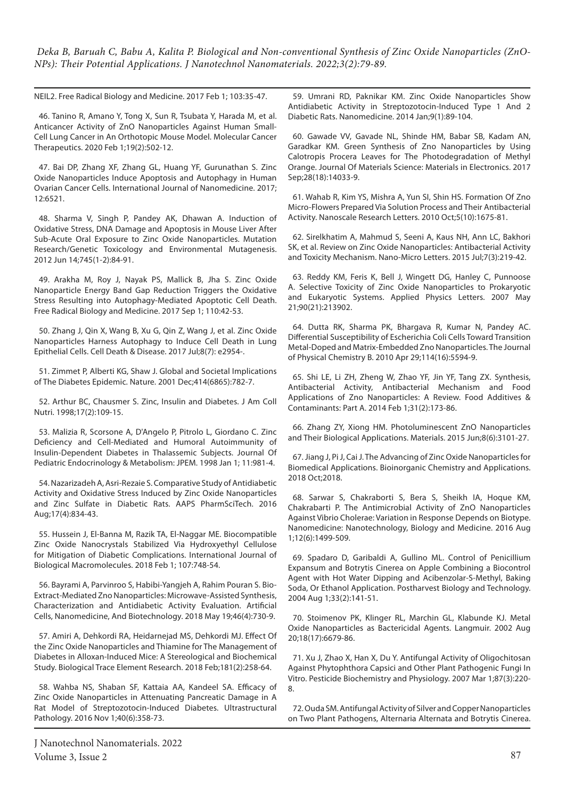NEIL2. Free Radical Biology and Medicine. 2017 Feb 1; 103:35-47.

46. Tanino R, Amano Y, Tong X, Sun R, Tsubata Y, Harada M, et al. Anticancer Activity of ZnO Nanoparticles Against Human Small-Cell Lung Cancer in An Orthotopic Mouse Model. Molecular Cancer Therapeutics. 2020 Feb 1;19(2):502-12.

47. Bai DP, Zhang XF, Zhang GL, Huang YF, Gurunathan S. Zinc Oxide Nanoparticles Induce Apoptosis and Autophagy in Human Ovarian Cancer Cells. International Journal of Nanomedicine. 2017; 12:6521.

48. Sharma V, Singh P, Pandey AK, Dhawan A. Induction of Oxidative Stress, DNA Damage and Apoptosis in Mouse Liver After Sub-Acute Oral Exposure to Zinc Oxide Nanoparticles. Mutation Research/Genetic Toxicology and Environmental Mutagenesis. 2012 Jun 14;745(1-2):84-91.

49. Arakha M, Roy J, Nayak PS, Mallick B, Jha S. Zinc Oxide Nanoparticle Energy Band Gap Reduction Triggers the Oxidative Stress Resulting into Autophagy-Mediated Apoptotic Cell Death. Free Radical Biology and Medicine. 2017 Sep 1; 110:42-53.

50. Zhang J, Qin X, Wang B, Xu G, Qin Z, Wang J, et al. Zinc Oxide Nanoparticles Harness Autophagy to Induce Cell Death in Lung Epithelial Cells. Cell Death & Disease. 2017 Jul;8(7): e2954-.

51. Zimmet P, Alberti KG, Shaw J. Global and Societal Implications of The Diabetes Epidemic. Nature. 2001 Dec;414(6865):782-7.

52. Arthur BC, Chausmer S. Zinc, Insulin and Diabetes. J Am Coll Nutri. 1998;17(2):109-15.

53. Malizia R, Scorsone A, D'Angelo P, Pitrolo L, Giordano C. Zinc Deficiency and Cell-Mediated and Humoral Autoimmunity of Insulin-Dependent Diabetes in Thalassemic Subjects. Journal Of Pediatric Endocrinology & Metabolism: JPEM. 1998 Jan 1; 11:981-4.

54. Nazarizadeh A, Asri-Rezaie S. Comparative Study of Antidiabetic Activity and Oxidative Stress Induced by Zinc Oxide Nanoparticles and Zinc Sulfate in Diabetic Rats. AAPS PharmSciTech. 2016 Aug;17(4):834-43.

55. Hussein J, El-Banna M, Razik TA, El-Naggar ME. Biocompatible Zinc Oxide Nanocrystals Stabilized Via Hydroxyethyl Cellulose for Mitigation of Diabetic Complications. International Journal of Biological Macromolecules. 2018 Feb 1; 107:748-54.

56. Bayrami A, Parvinroo S, Habibi-Yangjeh A, Rahim Pouran S. Bio-Extract-Mediated Zno Nanoparticles: Microwave-Assisted Synthesis, Characterization and Antidiabetic Activity Evaluation. Artificial Cells, Nanomedicine, And Biotechnology. 2018 May 19;46(4):730-9.

57. Amiri A, Dehkordi RA, Heidarnejad MS, Dehkordi MJ. Effect Of the Zinc Oxide Nanoparticles and Thiamine for The Management of Diabetes in Alloxan-Induced Mice: A Stereological and Biochemical Study. Biological Trace Element Research. 2018 Feb;181(2):258-64.

58. Wahba NS, Shaban SF, Kattaia AA, Kandeel SA. Efficacy of Zinc Oxide Nanoparticles in Attenuating Pancreatic Damage in A Rat Model of Streptozotocin-Induced Diabetes. Ultrastructural Pathology. 2016 Nov 1;40(6):358-73.

59. Umrani RD, Paknikar KM. Zinc Oxide Nanoparticles Show Antidiabetic Activity in Streptozotocin-Induced Type 1 And 2 Diabetic Rats. Nanomedicine. 2014 Jan;9(1):89-104.

60. Gawade VV, Gavade NL, Shinde HM, Babar SB, Kadam AN, Garadkar KM. Green Synthesis of Zno Nanoparticles by Using Calotropis Procera Leaves for The Photodegradation of Methyl Orange. Journal Of Materials Science: Materials in Electronics. 2017 Sep;28(18):14033-9.

61. Wahab R, Kim YS, Mishra A, Yun SI, Shin HS. Formation Of Zno Micro-Flowers Prepared Via Solution Process and Their Antibacterial Activity. Nanoscale Research Letters. 2010 Oct;5(10):1675-81.

62. Sirelkhatim A, Mahmud S, Seeni A, Kaus NH, Ann LC, Bakhori SK, et al. Review on Zinc Oxide Nanoparticles: Antibacterial Activity and Toxicity Mechanism. Nano-Micro Letters. 2015 Jul;7(3):219-42.

63. Reddy KM, Feris K, Bell J, Wingett DG, Hanley C, Punnoose A. Selective Toxicity of Zinc Oxide Nanoparticles to Prokaryotic and Eukaryotic Systems. Applied Physics Letters. 2007 May 21;90(21):213902.

64. Dutta RK, Sharma PK, Bhargava R, Kumar N, Pandey AC. Differential Susceptibility of Escherichia Coli Cells Toward Transition Metal-Doped and Matrix-Embedded Zno Nanoparticles. The Journal of Physical Chemistry B. 2010 Apr 29;114(16):5594-9.

65. Shi LE, Li ZH, Zheng W, Zhao YF, Jin YF, Tang ZX. Synthesis, Antibacterial Activity, Antibacterial Mechanism and Food Applications of Zno Nanoparticles: A Review. Food Additives & Contaminants: Part A. 2014 Feb 1;31(2):173-86.

66. Zhang ZY, Xiong HM. Photoluminescent ZnO Nanoparticles and Their Biological Applications. Materials. 2015 Jun;8(6):3101-27.

67. Jiang J, Pi J, Cai J. The Advancing of Zinc Oxide Nanoparticles for Biomedical Applications. Bioinorganic Chemistry and Applications. 2018 Oct;2018.

68. Sarwar S, Chakraborti S, Bera S, Sheikh IA, Hoque KM, Chakrabarti P. The Antimicrobial Activity of ZnO Nanoparticles Against Vibrio Cholerae: Variation in Response Depends on Biotype. Nanomedicine: Nanotechnology, Biology and Medicine. 2016 Aug 1;12(6):1499-509.

69. Spadaro D, Garibaldi A, Gullino ML. Control of Penicillium Expansum and Botrytis Cinerea on Apple Combining a Biocontrol Agent with Hot Water Dipping and Acibenzolar-S-Methyl, Baking Soda, Or Ethanol Application. Postharvest Biology and Technology. 2004 Aug 1;33(2):141-51.

70. Stoimenov PK, Klinger RL, Marchin GL, Klabunde KJ. Metal Oxide Nanoparticles as Bactericidal Agents. Langmuir. 2002 Aug 20;18(17):6679-86.

71. Xu J, Zhao X, Han X, Du Y. Antifungal Activity of Oligochitosan Against Phytophthora Capsici and Other Plant Pathogenic Fungi In Vitro. Pesticide Biochemistry and Physiology. 2007 Mar 1;87(3):220- 8.

72. Ouda SM. Antifungal Activity of Silver and Copper Nanoparticles on Two Plant Pathogens, Alternaria Alternata and Botrytis Cinerea.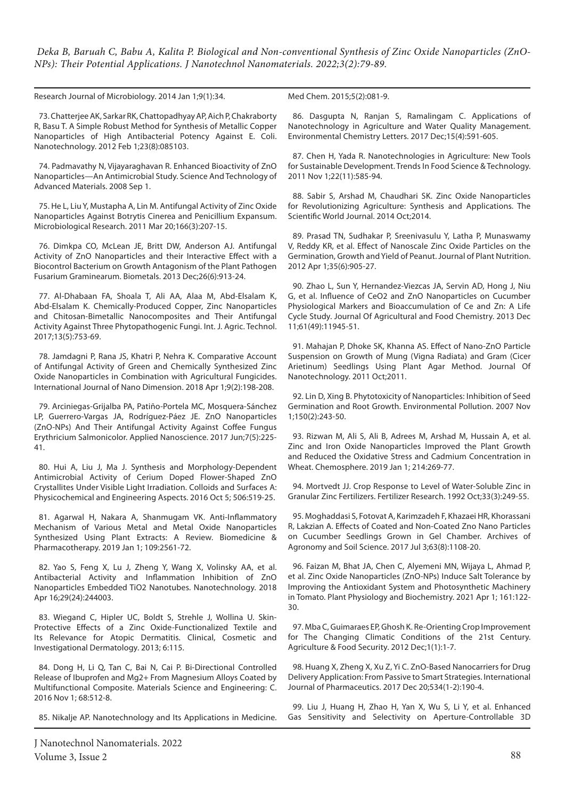Research Journal of Microbiology. 2014 Jan 1;9(1):34.

73. Chatterjee AK, Sarkar RK, Chattopadhyay AP, Aich P, Chakraborty R, Basu T. A Simple Robust Method for Synthesis of Metallic Copper Nanoparticles of High Antibacterial Potency Against E. Coli. Nanotechnology. 2012 Feb 1;23(8):085103.

74. Padmavathy N, Vijayaraghavan R. Enhanced Bioactivity of ZnO Nanoparticles—An Antimicrobial Study. Science And Technology of Advanced Materials. 2008 Sep 1.

75. He L, Liu Y, Mustapha A, Lin M. Antifungal Activity of Zinc Oxide Nanoparticles Against Botrytis Cinerea and Penicillium Expansum. Microbiological Research. 2011 Mar 20;166(3):207-15.

76. Dimkpa CO, McLean JE, Britt DW, Anderson AJ. Antifungal Activity of ZnO Nanoparticles and their Interactive Effect with a Biocontrol Bacterium on Growth Antagonism of the Plant Pathogen Fusarium Graminearum. Biometals. 2013 Dec;26(6):913-24.

77. Al-Dhabaan FA, Shoala T, Ali AA, Alaa M, Abd-Elsalam K, Abd-Elsalam K. Chemically-Produced Copper, Zinc Nanoparticles and Chitosan-Bimetallic Nanocomposites and Their Antifungal Activity Against Three Phytopathogenic Fungi. Int. J. Agric. Technol. 2017;13(5):753-69.

78. Jamdagni P, Rana JS, Khatri P, Nehra K. Comparative Account of Antifungal Activity of Green and Chemically Synthesized Zinc Oxide Nanoparticles in Combination with Agricultural Fungicides. International Journal of Nano Dimension. 2018 Apr 1;9(2):198-208.

79. Arciniegas-Grijalba PA, Patiño-Portela MC, Mosquera-Sánchez LP, Guerrero-Vargas JA, Rodríguez-Páez JE. ZnO Nanoparticles (ZnO-NPs) And Their Antifungal Activity Against Coffee Fungus Erythricium Salmonicolor. Applied Nanoscience. 2017 Jun;7(5):225- 41.

80. Hui A, Liu J, Ma J. Synthesis and Morphology-Dependent Antimicrobial Activity of Cerium Doped Flower-Shaped ZnO Crystallites Under Visible Light Irradiation. Colloids and Surfaces A: Physicochemical and Engineering Aspects. 2016 Oct 5; 506:519-25.

81. Agarwal H, Nakara A, Shanmugam VK. Anti-Inflammatory Mechanism of Various Metal and Metal Oxide Nanoparticles Synthesized Using Plant Extracts: A Review. Biomedicine & Pharmacotherapy. 2019 Jan 1; 109:2561-72.

82. Yao S, Feng X, Lu J, Zheng Y, Wang X, Volinsky AA, et al. Antibacterial Activity and Inflammation Inhibition of ZnO Nanoparticles Embedded TiO2 Nanotubes. Nanotechnology. 2018 Apr 16;29(24):244003.

83. Wiegand C, Hipler UC, Boldt S, Strehle J, Wollina U. Skin-Protective Effects of a Zinc Oxide-Functionalized Textile and Its Relevance for Atopic Dermatitis. Clinical, Cosmetic and Investigational Dermatology. 2013; 6:115.

84. Dong H, Li Q, Tan C, Bai N, Cai P. Bi-Directional Controlled Release of Ibuprofen and Mg2+ From Magnesium Alloys Coated by Multifunctional Composite. Materials Science and Engineering: C. 2016 Nov 1; 68:512-8.

85. Nikalje AP. Nanotechnology and Its Applications in Medicine.

Med Chem. 2015;5(2):081-9.

86. Dasgupta N, Ranjan S, Ramalingam C. Applications of Nanotechnology in Agriculture and Water Quality Management. Environmental Chemistry Letters. 2017 Dec;15(4):591-605.

87. Chen H, Yada R. Nanotechnologies in Agriculture: New Tools for Sustainable Development. Trends In Food Science & Technology. 2011 Nov 1;22(11):585-94.

88. Sabir S, Arshad M, Chaudhari SK. Zinc Oxide Nanoparticles for Revolutionizing Agriculture: Synthesis and Applications. The Scientific World Journal. 2014 Oct;2014.

89. Prasad TN, Sudhakar P, Sreenivasulu Y, Latha P, Munaswamy V, Reddy KR, et al. Effect of Nanoscale Zinc Oxide Particles on the Germination, Growth and Yield of Peanut. Journal of Plant Nutrition. 2012 Apr 1;35(6):905-27.

90. Zhao L, Sun Y, Hernandez-Viezcas JA, Servin AD, Hong J, Niu G, et al. Influence of CeO2 and ZnO Nanoparticles on Cucumber Physiological Markers and Bioaccumulation of Ce and Zn: A Life Cycle Study. Journal Of Agricultural and Food Chemistry. 2013 Dec 11;61(49):11945-51.

91. Mahajan P, Dhoke SK, Khanna AS. Effect of Nano-ZnO Particle Suspension on Growth of Mung (Vigna Radiata) and Gram (Cicer Arietinum) Seedlings Using Plant Agar Method. Journal Of Nanotechnology. 2011 Oct;2011.

92. Lin D, Xing B. Phytotoxicity of Nanoparticles: Inhibition of Seed Germination and Root Growth. Environmental Pollution. 2007 Nov 1;150(2):243-50.

93. Rizwan M, Ali S, Ali B, Adrees M, Arshad M, Hussain A, et al. Zinc and Iron Oxide Nanoparticles Improved the Plant Growth and Reduced the Oxidative Stress and Cadmium Concentration in Wheat. Chemosphere. 2019 Jan 1; 214:269-77.

94. Mortvedt JJ. Crop Response to Level of Water-Soluble Zinc in Granular Zinc Fertilizers. Fertilizer Research. 1992 Oct;33(3):249-55.

95. Moghaddasi S, Fotovat A, Karimzadeh F, Khazaei HR, Khorassani R, Lakzian A. Effects of Coated and Non-Coated Zno Nano Particles on Cucumber Seedlings Grown in Gel Chamber. Archives of Agronomy and Soil Science. 2017 Jul 3;63(8):1108-20.

96. Faizan M, Bhat JA, Chen C, Alyemeni MN, Wijaya L, Ahmad P, et al. Zinc Oxide Nanoparticles (ZnO-NPs) Induce Salt Tolerance by Improving the Antioxidant System and Photosynthetic Machinery in Tomato. Plant Physiology and Biochemistry. 2021 Apr 1; 161:122- 30.

97. Mba C, Guimaraes EP, Ghosh K. Re-Orienting Crop Improvement for The Changing Climatic Conditions of the 21st Century. Agriculture & Food Security. 2012 Dec;1(1):1-7.

98. Huang X, Zheng X, Xu Z, Yi C. ZnO-Based Nanocarriers for Drug Delivery Application: From Passive to Smart Strategies. International Journal of Pharmaceutics. 2017 Dec 20;534(1-2):190-4.

99. Liu J, Huang H, Zhao H, Yan X, Wu S, Li Y, et al. Enhanced Gas Sensitivity and Selectivity on Aperture-Controllable 3D